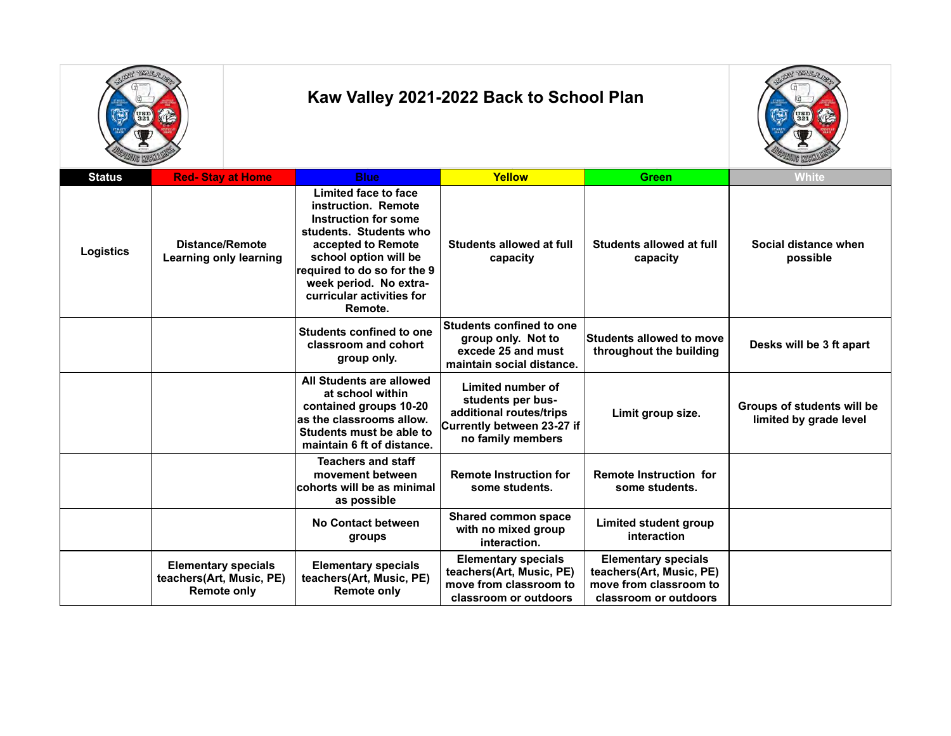



| <b>Status</b>    | <b>Red-Stay at Home</b>                                               | <b>Blue</b>                                                                                                                                                                                                                                   | Yellow                                                                                                               | <b>Green</b>                                                                                              | <b>White</b>                                         |
|------------------|-----------------------------------------------------------------------|-----------------------------------------------------------------------------------------------------------------------------------------------------------------------------------------------------------------------------------------------|----------------------------------------------------------------------------------------------------------------------|-----------------------------------------------------------------------------------------------------------|------------------------------------------------------|
| <b>Logistics</b> | <b>Distance/Remote</b><br><b>Learning only learning</b>               | Limited face to face<br>instruction. Remote<br>Instruction for some<br>students. Students who<br>accepted to Remote<br>school option will be<br>required to do so for the 9<br>week period. No extra-<br>curricular activities for<br>Remote. | Students allowed at full<br>capacity                                                                                 | Students allowed at full<br>capacity                                                                      | Social distance when<br>possible                     |
|                  |                                                                       | <b>Students confined to one</b><br>classroom and cohort<br>group only.                                                                                                                                                                        | <b>Students confined to one</b><br>group only. Not to<br>excede 25 and must<br>maintain social distance.             | <b>Students allowed to move</b><br>throughout the building                                                | Desks will be 3 ft apart                             |
|                  |                                                                       | All Students are allowed<br>at school within<br>contained groups 10-20<br>as the classrooms allow.<br>Students must be able to<br>maintain 6 ft of distance.                                                                                  | Limited number of<br>students per bus-<br>additional routes/trips<br>Currently between 23-27 if<br>no family members | Limit group size.                                                                                         | Groups of students will be<br>limited by grade level |
|                  |                                                                       | <b>Teachers and staff</b><br>movement between<br>cohorts will be as minimal<br>as possible                                                                                                                                                    | <b>Remote Instruction for</b><br>some students.                                                                      | <b>Remote Instruction for</b><br>some students.                                                           |                                                      |
|                  |                                                                       | No Contact between<br>groups                                                                                                                                                                                                                  | <b>Shared common space</b><br>with no mixed group<br>interaction.                                                    | <b>Limited student group</b><br>interaction                                                               |                                                      |
|                  | <b>Elementary specials</b><br>teachers(Art, Music, PE)<br>Remote only | <b>Elementary specials</b><br>teachers(Art, Music, PE)<br><b>Remote only</b>                                                                                                                                                                  | <b>Elementary specials</b><br>teachers(Art, Music, PE)<br>move from classroom to<br>classroom or outdoors            | <b>Elementary specials</b><br>teachers(Art, Music, PE)<br>move from classroom to<br>classroom or outdoors |                                                      |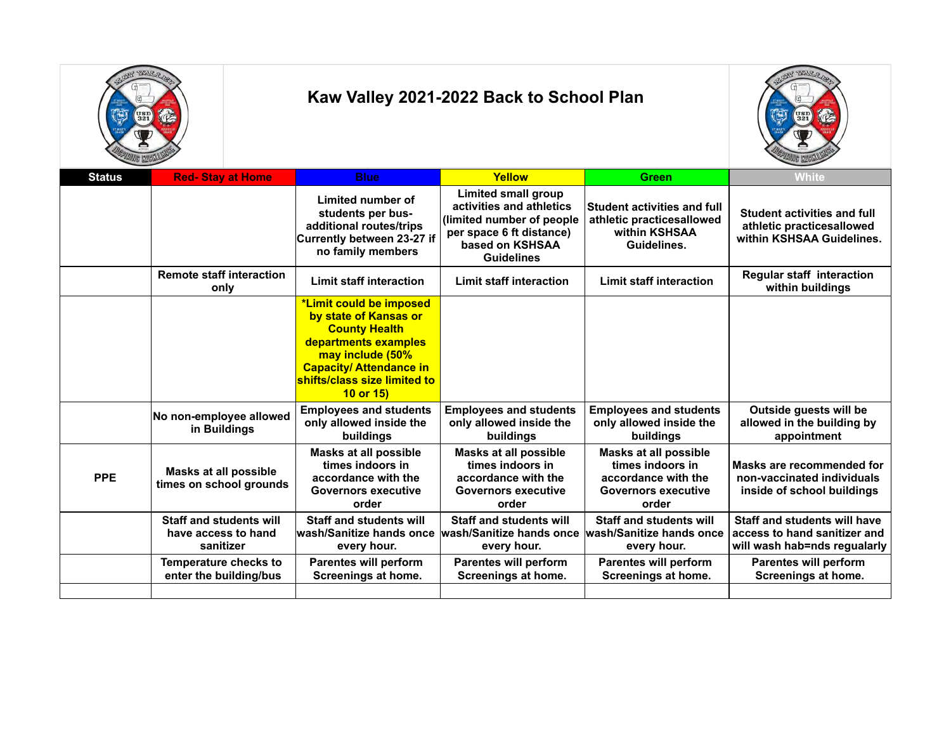



| <b>Status</b> | <b>Red-Stay at Home</b>                                            | <b>Blue</b>                                                                                                                                                                                              | Yellow                                                                                                                                                  | <b>Green</b>                                                                                                   | <b>White</b>                                                                                        |
|---------------|--------------------------------------------------------------------|----------------------------------------------------------------------------------------------------------------------------------------------------------------------------------------------------------|---------------------------------------------------------------------------------------------------------------------------------------------------------|----------------------------------------------------------------------------------------------------------------|-----------------------------------------------------------------------------------------------------|
|               |                                                                    | Limited number of<br>students per bus-<br>additional routes/trips<br>Currently between 23-27 if<br>no family members                                                                                     | <b>Limited small group</b><br>activities and athletics<br>(limited number of people<br>per space 6 ft distance)<br>based on KSHSAA<br><b>Guidelines</b> | <b>Student activities and full</b><br>athletic practicesallowed<br>within KSHSAA<br>Guidelines.                | Student activities and full<br>athletic practicesallowed<br>within KSHSAA Guidelines.               |
|               | <b>Remote staff interaction</b><br>only                            | <b>Limit staff interaction</b>                                                                                                                                                                           | <b>Limit staff interaction</b>                                                                                                                          | <b>Limit staff interaction</b>                                                                                 | <b>Regular staff interaction</b><br>within buildings                                                |
|               |                                                                    | *Limit could be imposed<br>by state of Kansas or<br><b>County Health</b><br>departments examples<br>may include (50%<br><b>Capacity/ Attendance in</b><br>shifts/class size limited to<br>$10$ or $15$ ) |                                                                                                                                                         |                                                                                                                |                                                                                                     |
|               | No non-employee allowed<br>in Buildings                            | <b>Employees and students</b><br>only allowed inside the<br>buildings                                                                                                                                    | <b>Employees and students</b><br>only allowed inside the<br>buildings                                                                                   | <b>Employees and students</b><br>only allowed inside the<br>buildings                                          | Outside guests will be<br>allowed in the building by<br>appointment                                 |
| <b>PPE</b>    | Masks at all possible<br>times on school grounds                   | Masks at all possible<br>times indoors in<br>accordance with the<br><b>Governors executive</b><br>order                                                                                                  | <b>Masks at all possible</b><br>times indoors in<br>accordance with the<br><b>Governors executive</b><br>order                                          | <b>Masks at all possible</b><br>times indoors in<br>accordance with the<br><b>Governors executive</b><br>order | Masks are recommended for<br>non-vaccinated individuals<br>inside of school buildings               |
|               | <b>Staff and students will</b><br>have access to hand<br>sanitizer | <b>Staff and students will</b><br>wash/Sanitize hands once<br>every hour.                                                                                                                                | <b>Staff and students will</b><br>wash/Sanitize hands once<br>every hour.                                                                               | <b>Staff and students will</b><br>lwash/Sanitize hands once<br>every hour.                                     | <b>Staff and students will have</b><br>access to hand sanitizer and<br>will wash hab=nds regualarly |
|               | Temperature checks to<br>enter the building/bus                    | <b>Parentes will perform</b><br>Screenings at home.                                                                                                                                                      | <b>Parentes will perform</b><br>Screenings at home.                                                                                                     | <b>Parentes will perform</b><br>Screenings at home.                                                            | Parentes will perform<br>Screenings at home.                                                        |
|               |                                                                    |                                                                                                                                                                                                          |                                                                                                                                                         |                                                                                                                |                                                                                                     |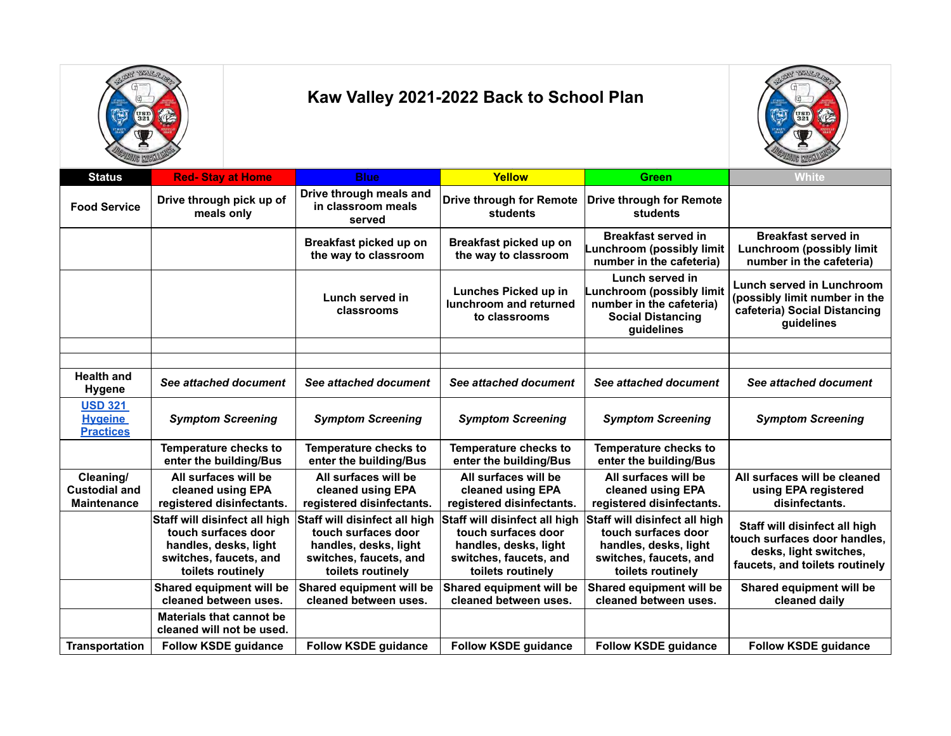



| <b>Status</b>                                           | <b>Red-Stay at Home</b>                                                                                                      | <b>Blue</b>                                                                                                                  | Yellow                                                                                                                       | <b>Green</b>                                                                                                                 | <b>White</b>                                                                                                              |
|---------------------------------------------------------|------------------------------------------------------------------------------------------------------------------------------|------------------------------------------------------------------------------------------------------------------------------|------------------------------------------------------------------------------------------------------------------------------|------------------------------------------------------------------------------------------------------------------------------|---------------------------------------------------------------------------------------------------------------------------|
| <b>Food Service</b>                                     | Drive through pick up of<br>meals only                                                                                       | Drive through meals and<br>in classroom meals<br>served                                                                      | <b>Drive through for Remote</b><br>students                                                                                  | <b>Drive through for Remote</b><br>students                                                                                  |                                                                                                                           |
|                                                         |                                                                                                                              | Breakfast picked up on<br>the way to classroom                                                                               | Breakfast picked up on<br>the way to classroom                                                                               | <b>Breakfast served in</b><br>unchroom (possibly limit<br>number in the cafeteria)                                           | <b>Breakfast served in</b><br><b>Lunchroom (possibly limit</b><br>number in the cafeteria)                                |
|                                                         |                                                                                                                              | Lunch served in<br>classrooms                                                                                                | Lunches Picked up in<br>lunchroom and returned<br>to classrooms                                                              | Lunch served in<br>Lunchroom (possibly limit<br>number in the cafeteria)<br><b>Social Distancing</b><br>guidelines           | Lunch served in Lunchroom<br>(possibly limit number in the<br>cafeteria) Social Distancing<br>guidelines                  |
|                                                         |                                                                                                                              |                                                                                                                              |                                                                                                                              |                                                                                                                              |                                                                                                                           |
|                                                         |                                                                                                                              |                                                                                                                              |                                                                                                                              |                                                                                                                              |                                                                                                                           |
| <b>Health and</b><br>Hygene                             | See attached document                                                                                                        | See attached document                                                                                                        | See attached document                                                                                                        | See attached document                                                                                                        | See attached document                                                                                                     |
| <b>USD 321</b><br><b>Hygeine</b><br><b>Practices</b>    | <b>Symptom Screening</b>                                                                                                     | <b>Symptom Screening</b>                                                                                                     | <b>Symptom Screening</b>                                                                                                     | <b>Symptom Screening</b>                                                                                                     | <b>Symptom Screening</b>                                                                                                  |
|                                                         | Temperature checks to<br>enter the building/Bus                                                                              | <b>Temperature checks to</b><br>enter the building/Bus                                                                       | Temperature checks to<br>enter the building/Bus                                                                              | Temperature checks to<br>enter the building/Bus                                                                              |                                                                                                                           |
| Cleaning/<br><b>Custodial and</b><br><b>Maintenance</b> | All surfaces will be<br>cleaned using EPA<br>registered disinfectants.                                                       | All surfaces will be<br>cleaned using EPA<br>registered disinfectants.                                                       | All surfaces will be<br>cleaned using EPA<br>registered disinfectants.                                                       | All surfaces will be<br>cleaned using EPA<br>registered disinfectants.                                                       | All surfaces will be cleaned<br>using EPA registered<br>disinfectants.                                                    |
|                                                         | Staff will disinfect all high<br>touch surfaces door<br>handles, desks, light<br>switches, faucets, and<br>toilets routinely | Staff will disinfect all high<br>touch surfaces door<br>handles, desks, light<br>switches, faucets, and<br>toilets routinely | Staff will disinfect all high<br>touch surfaces door<br>handles, desks, light<br>switches, faucets, and<br>toilets routinely | Staff will disinfect all high<br>touch surfaces door<br>handles, desks, light<br>switches, faucets, and<br>toilets routinely | Staff will disinfect all high<br>touch surfaces door handles,<br>desks, light switches,<br>faucets, and toilets routinely |
|                                                         | Shared equipment will be<br>cleaned between uses.                                                                            | Shared equipment will be<br>cleaned between uses.                                                                            | Shared equipment will be<br>cleaned between uses.                                                                            | Shared equipment will be<br>cleaned between uses.                                                                            | Shared equipment will be<br>cleaned daily                                                                                 |
|                                                         | <b>Materials that cannot be</b><br>cleaned will not be used.                                                                 |                                                                                                                              |                                                                                                                              |                                                                                                                              |                                                                                                                           |
| <b>Transportation</b>                                   | <b>Follow KSDE guidance</b>                                                                                                  | <b>Follow KSDE guidance</b>                                                                                                  | <b>Follow KSDE guidance</b>                                                                                                  | <b>Follow KSDE guidance</b>                                                                                                  | <b>Follow KSDE guidance</b>                                                                                               |